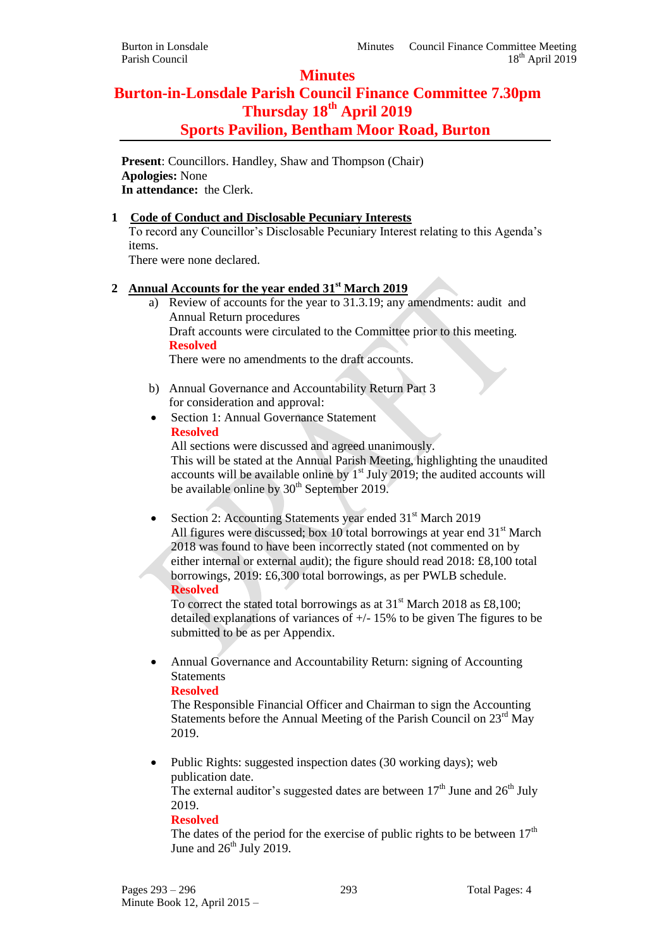## **Minutes**

# **Burton-in-Lonsdale Parish Council Finance Committee 7.30pm Thursday 18th April 2019 Sports Pavilion, Bentham Moor Road, Burton**

**Present**: Councillors. Handley, Shaw and Thompson (Chair) **Apologies:** None **In attendance:** the Clerk.

## **1 Code of Conduct and Disclosable Pecuniary Interests**

To record any Councillor's Disclosable Pecuniary Interest relating to this Agenda's items.

There were none declared.

## **2 Annual Accounts for the year ended 31st March 2019**

a) Review of accounts for the year to 31.3.19; any amendments: audit and Annual Return procedures Draft accounts were circulated to the Committee prior to this meeting. **Resolved**

There were no amendments to the draft accounts.

- b) Annual Governance and Accountability Return Part 3 for consideration and approval:
- Section 1: Annual Governance Statement **Resolved**

All sections were discussed and agreed unanimously. This will be stated at the Annual Parish Meeting, highlighting the unaudited accounts will be available online by  $1<sup>st</sup>$  July 2019; the audited accounts will be available online by  $30<sup>th</sup>$  September 2019.

Section 2: Accounting Statements year ended 31<sup>st</sup> March 2019 All figures were discussed; box 10 total borrowings at year end  $31<sup>st</sup>$  March 2018 was found to have been incorrectly stated (not commented on by either internal or external audit); the figure should read 2018: £8,100 total borrowings, 2019: £6,300 total borrowings, as per PWLB schedule. **Resolved**

To correct the stated total borrowings as at  $31<sup>st</sup>$  March 2018 as £8,100; detailed explanations of variances of +/- 15% to be given The figures to be submitted to be as per Appendix.

 Annual Governance and Accountability Return: signing of Accounting **Statements** 

## **Resolved**

The Responsible Financial Officer and Chairman to sign the Accounting Statements before the Annual Meeting of the Parish Council on  $23<sup>rd</sup>$  May 2019.

 Public Rights: suggested inspection dates (30 working days); web publication date.

The external auditor's suggested dates are between  $17<sup>th</sup>$  June and  $26<sup>th</sup>$  July 2019.

## **Resolved**

The dates of the period for the exercise of public rights to be between  $17<sup>th</sup>$ June and  $26<sup>th</sup>$  July 2019.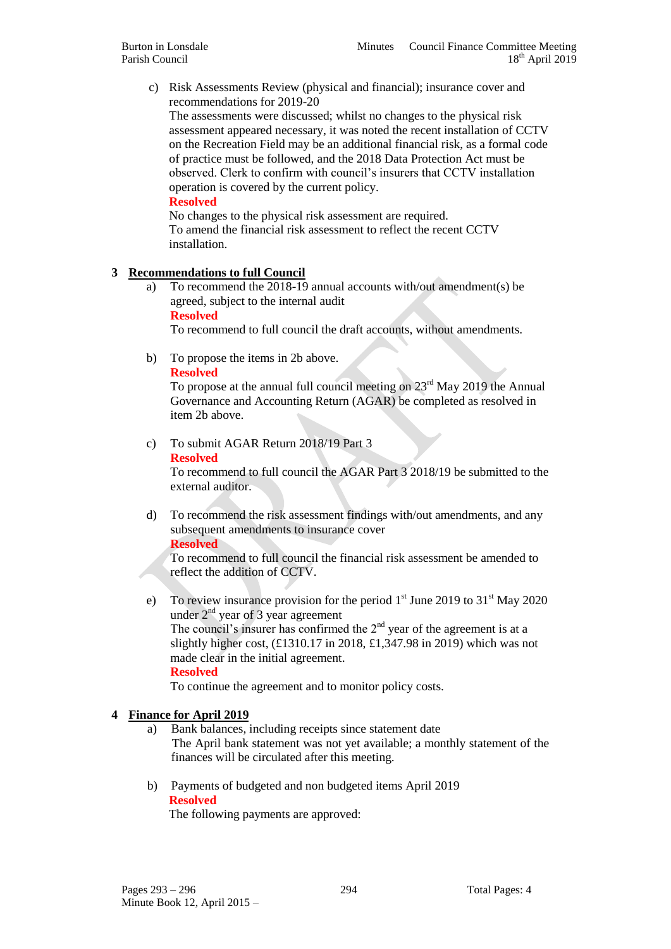c) Risk Assessments Review (physical and financial); insurance cover and recommendations for 2019-20

The assessments were discussed; whilst no changes to the physical risk assessment appeared necessary, it was noted the recent installation of CCTV on the Recreation Field may be an additional financial risk, as a formal code of practice must be followed, and the 2018 Data Protection Act must be observed. Clerk to confirm with council's insurers that CCTV installation operation is covered by the current policy.

#### **Resolved**

No changes to the physical risk assessment are required. To amend the financial risk assessment to reflect the recent CCTV installation.

### **3 Recommendations to full Council**

a) To recommend the 2018-19 annual accounts with/out amendment(s) be agreed, subject to the internal audit

#### **Resolved**

To recommend to full council the draft accounts, without amendments.

b) To propose the items in 2b above.

#### **Resolved**

To propose at the annual full council meeting on  $23<sup>rd</sup>$  May 2019 the Annual Governance and Accounting Return (AGAR) be completed as resolved in item 2b above.

## c) To submit AGAR Return 2018/19 Part 3

#### **Resolved**

To recommend to full council the AGAR Part 3 2018/19 be submitted to the external auditor.

d) To recommend the risk assessment findings with/out amendments, and any subsequent amendments to insurance cover

#### **Resolved**

To recommend to full council the financial risk assessment be amended to reflect the addition of CCTV.

e) To review insurance provision for the period  $1<sup>st</sup>$  June 2019 to 31<sup>st</sup> May 2020 under  $2<sup>nd</sup>$  year of 3 year agreement The council's insurer has confirmed the  $2<sup>nd</sup>$  year of the agreement is at a slightly higher cost, (£1310.17 in 2018, £1,347.98 in 2019) which was not made clear in the initial agreement.

**Resolved**

To continue the agreement and to monitor policy costs.

#### **4 Finance for April 2019**

- a) Bank balances, including receipts since statement date The April bank statement was not yet available; a monthly statement of the finances will be circulated after this meeting.
- b) Payments of budgeted and non budgeted items April 2019  **Resolved**

The following payments are approved: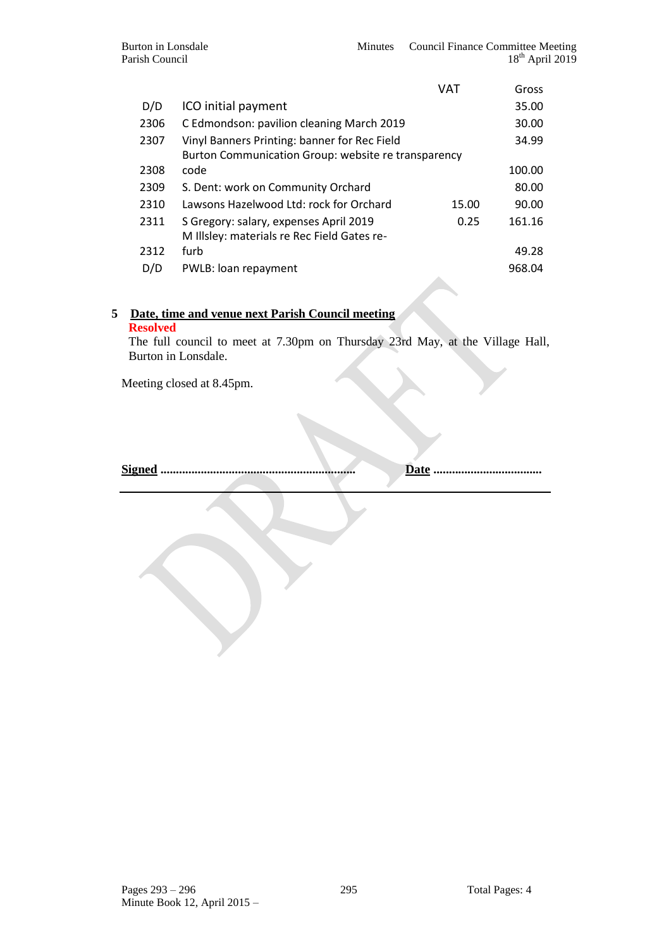|      |                                                     | VAT   | Gross  |  |
|------|-----------------------------------------------------|-------|--------|--|
| D/D  | ICO initial payment                                 |       | 35.00  |  |
| 2306 | C Edmondson: pavilion cleaning March 2019           |       | 30.00  |  |
| 2307 | Vinyl Banners Printing: banner for Rec Field        |       | 34.99  |  |
|      | Burton Communication Group: website re transparency |       |        |  |
| 2308 | code                                                |       | 100.00 |  |
| 2309 | S. Dent: work on Community Orchard                  |       | 80.00  |  |
| 2310 | Lawsons Hazelwood Ltd: rock for Orchard             | 15.00 | 90.00  |  |
| 2311 | S Gregory: salary, expenses April 2019              | 0.25  | 161.16 |  |
|      | M Illsley: materials re Rec Field Gates re-         |       |        |  |
| 2312 | furb                                                |       | 49.28  |  |
| D/D  | PWLB: loan repayment                                |       | 968.04 |  |
|      |                                                     |       |        |  |

## **5 Date, time and venue next Parish Council meeting**

### **Resolved**

The full council to meet at 7.30pm on Thursday 23rd May, at the Village Hall, Burton in Lonsdale.

Meeting closed at 8.45pm.

**Signed ............................................................... Date ...................................**